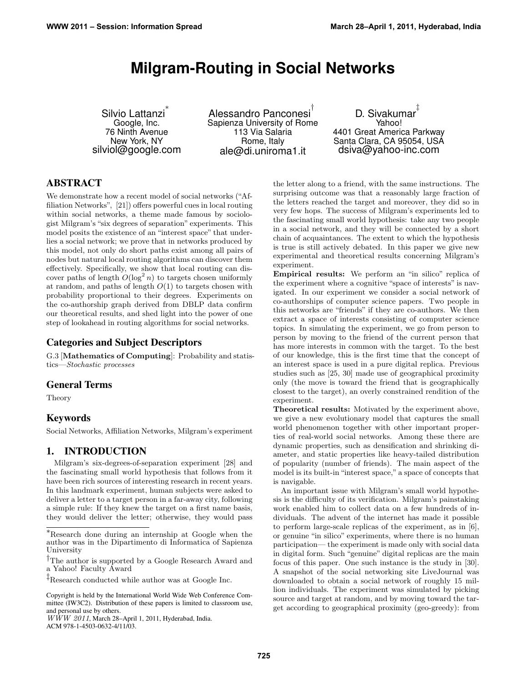# **Milgram-Routing in Social Networks**

Silvio Lattanzi ∗ Google, Inc. 76 Ninth Avenue New York, NY silviol@google.com

Alessandro Panconesi<sup>†</sup> Sapienza University of Rome 113 Via Salaria Rome, Italy ale@di.uniroma1.it

D. Sivakumar ‡ Yahoo! 4401 Great America Parkway Santa Clara, CA 95054, USA dsiva@yahoo-inc.com

## ABSTRACT

We demonstrate how a recent model of social networks ("Affiliation Networks", [21]) offers powerful cues in local routing within social networks, a theme made famous by sociologist Milgram's "six degrees of separation" experiments. This model posits the existence of an "interest space" that underlies a social network; we prove that in networks produced by this model, not only do short paths exist among all pairs of nodes but natural local routing algorithms can discover them effectively. Specifically, we show that local routing can discover paths of length  $O(\log^2 n)$  to targets chosen uniformly at random, and paths of length  $O(1)$  to targets chosen with probability proportional to their degrees. Experiments on the co-authorship graph derived from DBLP data confirm our theoretical results, and shed light into the power of one step of lookahead in routing algorithms for social networks.

## Categories and Subject Descriptors

G.3 [Mathematics of Computing]: Probability and statistics—Stochastic processes

### General Terms

Theory

## Keywords

Social Networks, Affiliation Networks, Milgram's experiment

## 1. INTRODUCTION

Milgram's six-degrees-of-separation experiment [28] and the fascinating small world hypothesis that follows from it have been rich sources of interesting research in recent years. In this landmark experiment, human subjects were asked to deliver a letter to a target person in a far-away city, following a simple rule: If they knew the target on a first name basis, they would deliver the letter; otherwise, they would pass

WWW 2011, March 28–April 1, 2011, Hyderabad, India.

ACM 978-1-4503-0632-4/11/03.

the letter along to a friend, with the same instructions. The surprising outcome was that a reasonably large fraction of the letters reached the target and moreover, they did so in very few hops. The success of Milgram's experiments led to the fascinating small world hypothesis: take any two people in a social network, and they will be connected by a short chain of acquaintances. The extent to which the hypothesis is true is still actively debated. In this paper we give new experimental and theoretical results concerning Milgram's experiment.

Empirical results: We perform an "in silico" replica of the experiment where a cognitive "space of interests" is navigated. In our experiment we consider a social network of co-authorships of computer science papers. Two people in this networks are "friends" if they are co-authors. We then extract a space of interests consisting of computer science topics. In simulating the experiment, we go from person to person by moving to the friend of the current person that has more interests in common with the target. To the best of our knowledge, this is the first time that the concept of an interest space is used in a pure digital replica. Previous studies such as [25, 30] made use of geographical proximity only (the move is toward the friend that is geographically closest to the target), an overly constrained rendition of the experiment.

Theoretical results: Motivated by the experiment above, we give a new evolutionary model that captures the small world phenomenon together with other important properties of real-world social networks. Among these there are dynamic properties, such as densification and shrinking diameter, and static properties like heavy-tailed distribution of popularity (number of friends). The main aspect of the model is its built-in "interest space," a space of concepts that is navigable.

An important issue with Milgram's small world hypothesis is the difficulty of its verification. Milgram's painstaking work enabled him to collect data on a few hundreds of individuals. The advent of the internet has made it possible to perform large-scale replicas of the experiment, as in [6], or genuine "in silico" experiments, where there is no human participation— the experiment is made only with social data in digital form. Such "genuine" digital replicas are the main focus of this paper. One such instance is the study in [30]. A snapshot of the social networking site LiveJournal was downloaded to obtain a social network of roughly 15 million individuals. The experiment was simulated by picking source and target at random, and by moving toward the target according to geographical proximity (geo-greedy): from

<sup>∗</sup>Research done during an internship at Google when the author was in the Dipartimento di Informatica of Sapienza University

<sup>†</sup>The author is supported by a Google Research Award and a Yahoo! Faculty Award

<sup>‡</sup>Research conducted while author was at Google Inc.

Copyright is held by the International World Wide Web Conference Committee (IW3C2). Distribution of these papers is limited to classroom use, and personal use by others.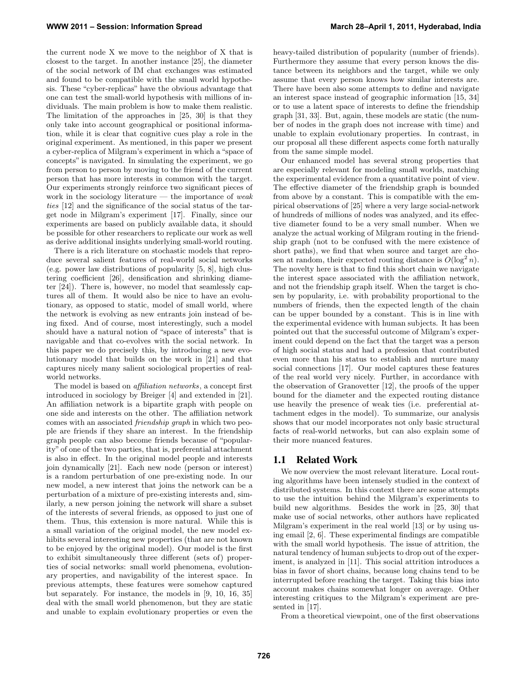the current node X we move to the neighbor of X that is closest to the target. In another instance [25], the diameter of the social network of IM chat exchanges was estimated and found to be compatible with the small world hypothesis. These "cyber-replicas" have the obvious advantage that one can test the small-world hypothesis with millions of individuals. The main problem is how to make them realistic. The limitation of the approaches in [25, 30] is that they only take into account geographical or positional information, while it is clear that cognitive cues play a role in the original experiment. As mentioned, in this paper we present a cyber-replica of Milgram's experiment in which a "space of concepts" is navigated. In simulating the experiment, we go from person to person by moving to the friend of the current person that has more interests in common with the target. Our experiments strongly reinforce two significant pieces of work in the sociology literature  $-$  the importance of *weak* ties [12] and the significance of the social status of the target node in Milgram's experiment [17]. Finally, since our experiments are based on publicly available data, it should be possible for other researchers to replicate our work as well as derive additional insights underlying small-world routing.

There is a rich literature on stochastic models that reproduce several salient features of real-world social networks (e.g. power law distributions of popularity [5, 8], high clustering coefficient [26], densification and shrinking diameter [24]). There is, however, no model that seamlessly captures all of them. It would also be nice to have an evolutionary, as opposed to static, model of small world, where the network is evolving as new entrants join instead of being fixed. And of course, most interestingly, such a model should have a natural notion of "space of interests" that is navigable and that co-evolves with the social network. In this paper we do precisely this, by introducing a new evolutionary model that builds on the work in [21] and that captures nicely many salient sociological properties of realworld networks.

The model is based on affiliation networks, a concept first introduced in sociology by Breiger [4] and extended in [21]. An affiliation network is a bipartite graph with people on one side and interests on the other. The affiliation network comes with an associated friendship graph in which two people are friends if they share an interest. In the friendship graph people can also become friends because of "popularity" of one of the two parties, that is, preferential attachment is also in effect. In the original model people and interests join dynamically [21]. Each new node (person or interest) is a random perturbation of one pre-existing node. In our new model, a new interest that joins the network can be a perturbation of a mixture of pre-existing interests and, similarly, a new person joining the network will share a subset of the interests of several friends, as opposed to just one of them. Thus, this extension is more natural. While this is a small variation of the original model, the new model exhibits several interesting new properties (that are not known to be enjoyed by the original model). Our model is the first to exhibit simultaneously three different (sets of) properties of social networks: small world phenomena, evolutionary properties, and navigability of the interest space. In previous attempts, these features were somehow captured but separately. For instance, the models in [9, 10, 16, 35] deal with the small world phenomenon, but they are static and unable to explain evolutionary properties or even the heavy-tailed distribution of popularity (number of friends). Furthermore they assume that every person knows the distance between its neighbors and the target, while we only assume that every person knows how similar interests are. There have been also some attempts to define and navigate an interest space instead of geographic information [15, 34] or to use a latent space of interests to define the friendship graph [31, 33]. But, again, these models are static (the number of nodes in the graph does not increase with time) and unable to explain evolutionary properties. In contrast, in our proposal all these different aspects come forth naturally from the same simple model.

Our enhanced model has several strong properties that are especially relevant for modeling small worlds, matching the experimental evidence from a quantitative point of view. The effective diameter of the friendship graph is bounded from above by a constant. This is compatible with the empirical observations of [25] where a very large social-network of hundreds of millions of nodes was analyzed, and its effective diameter found to be a very small number. When we analyze the actual working of Milgram routing in the friendship graph (not to be confused with the mere existence of short paths), we find that when source and target are chosen at random, their expected routing distance is  $O(\log^2 n)$ . The novelty here is that to find this short chain we navigate the interest space associated with the affiliation network, and not the friendship graph itself. When the target is chosen by popularity, i.e. with probability proportional to the numbers of friends, then the expected length of the chain can be upper bounded by a constant. This is in line with the experimental evidence with human subjects. It has been pointed out that the successful outcome of Milgram's experiment could depend on the fact that the target was a person of high social status and had a profession that contributed even more than his status to establish and nurture many social connections [17]. Our model captures these features of the real world very nicely. Further, in accordance with the observation of Granovetter [12], the proofs of the upper bound for the diameter and the expected routing distance use heavily the presence of weak ties (i.e. preferential attachment edges in the model). To summarize, our analysis shows that our model incorporates not only basic structural facts of real-world networks, but can also explain some of their more nuanced features.

#### 1.1 Related Work

We now overview the most relevant literature. Local routing algorithms have been intensely studied in the context of distributed systems. In this context there are some attempts to use the intuition behind the Milgram's experiments to build new algorithms. Besides the work in [25, 30] that make use of social networks, other authors have replicated Milgram's experiment in the real world [13] or by using using email [2, 6]. These experimental findings are compatible with the small world hypothesis. The issue of attrition, the natural tendency of human subjects to drop out of the experiment, is analyzed in [11]. This social attrition introduces a bias in favor of short chains, because long chains tend to be interrupted before reaching the target. Taking this bias into account makes chains somewhat longer on average. Other interesting critiques to the Milgram's experiment are presented in [17].

From a theoretical viewpoint, one of the first observations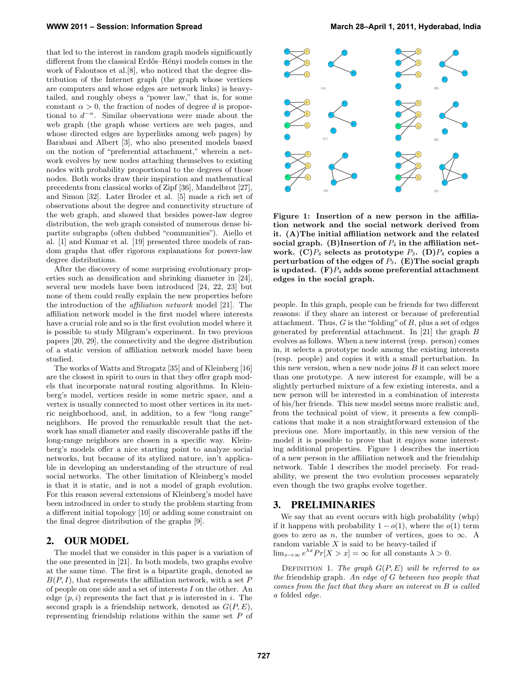that led to the interest in random graph models significantly different from the classical Erdős–Rényi models comes in the work of Faloutsos et al.[8], who noticed that the degree distribution of the Internet graph (the graph whose vertices are computers and whose edges are network links) is heavytailed, and roughly obeys a "power law," that is, for some constant  $\alpha > 0$ , the fraction of nodes of degree d is proportional to  $d^{-\alpha}$ . Similar observations were made about the web graph (the graph whose vertices are web pages, and whose directed edges are hyperlinks among web pages) by Barabasi and Albert [3], who also presented models based on the notion of "preferential attachment," wherein a network evolves by new nodes attaching themselves to existing nodes with probability proportional to the degrees of those nodes. Both works draw their inspiration and mathematical precedents from classical works of Zipf [36], Mandelbrot [27], and Simon [32]. Later Broder et al. [5] made a rich set of observations about the degree and connectivity structure of the web graph, and showed that besides power-law degree distribution, the web graph consisted of numerous dense bipartite subgraphs (often dubbed "communities"). Aiello et al. [1] and Kumar et al. [19] presented three models of random graphs that offer rigorous explanations for power-law degree distributions.

After the discovery of some surprising evolutionary properties such as densification and shrinking diameter in [24], several new models have been introduced [24, 22, 23] but none of them could really explain the new properties before the introduction of the affiliation network model [21]. The affiliation network model is the first model where interests have a crucial role and so is the first evolution model where it is possible to study Milgram's experiment. In two previous papers [20, 29], the connectivity and the degree distribution of a static version of affiliation network model have been studied.

The works of Watts and Strogatz [35] and of Kleinberg [16] are the closest in spirit to ours in that they offer graph models that incorporate natural routing algorithms. In Kleinberg's model, vertices reside in some metric space, and a vertex is usually connected to most other vertices in its metric neighborhood, and, in addition, to a few "long range" neighbors. He proved the remarkable result that the network has small diameter and easily discoverable paths iff the long-range neighbors are chosen in a specific way. Kleinberg's models offer a nice starting point to analyze social networks, but because of its stylized nature, isn't applicable in developing an understanding of the structure of real social networks. The other limitation of Kleinberg's model is that it is static, and is not a model of graph evolution. For this reason several extensions of Kleinberg's model have been introduced in order to study the problem starting from a different initial topology [10] or adding some constraint on the final degree distribution of the graphs [9].

## 2. OUR MODEL

The model that we consider in this paper is a variation of the one presented in [21]. In both models, two graphs evolve at the same time. The first is a bipartite graph, denoted as  $B(P, I)$ , that represents the affiliation network, with a set P of people on one side and a set of interests I on the other. An edge  $(p, i)$  represents the fact that p is interested in i. The second graph is a friendship network, denoted as  $G(P, E)$ , representing friendship relations within the same set P of



Figure 1: Insertion of a new person in the affiliation network and the social network derived from it. (A)The initial affiliation network and the related social graph. (B)Insertion of  $P_4$  in the affiliation network.  $(C)P_4$  selects as prototype  $P_3$ .  $(D)P_4$  copies a perturbation of the edges of  $P_3$ . (E) The social graph is updated.  $(F)P_4$  adds some preferential attachment edges in the social graph.

people. In this graph, people can be friends for two different reasons: if they share an interest or because of preferential attachment. Thus,  $G$  is the "folding" of  $B$ , plus a set of edges generated by preferential attachment. In [21] the graph B evolves as follows. When a new interest (resp. person) comes in, it selects a prototype node among the existing interests (resp. people) and copies it with a small perturbation. In this new version, when a new node joins  $B$  it can select more than one prototype. A new interest for example, will be a slightly perturbed mixture of a few existing interests, and a new person will be interested in a combination of interests of his/her friends. This new model seems more realistic and, from the technical point of view, it presents a few complications that make it a non straightforward extension of the previous one. More importantly, in this new version of the model it is possible to prove that it enjoys some interesting additional properties. Figure 1 describes the insertion of a new person in the affiliation network and the friendship network. Table 1 describes the model precisely. For readability, we present the two evolution processes separately even though the two graphs evolve together.

#### 3. PRELIMINARIES

We say that an event occurs with high probability (whp) if it happens with probability  $1 - o(1)$ , where the  $o(1)$  term goes to zero as n, the number of vertices, goes to  $\infty$ . A random variable  $X$  is said to be heavy-tailed if  $\lim_{x\to\infty}e^{\lambda x}Pr[X > x] = \infty$  for all constants  $\lambda > 0$ .

DEFINITION 1. The graph  $G(P, E)$  will be referred to as the friendship graph. An edge of G between two people that comes from the fact that they share an interest in B is called a folded edge.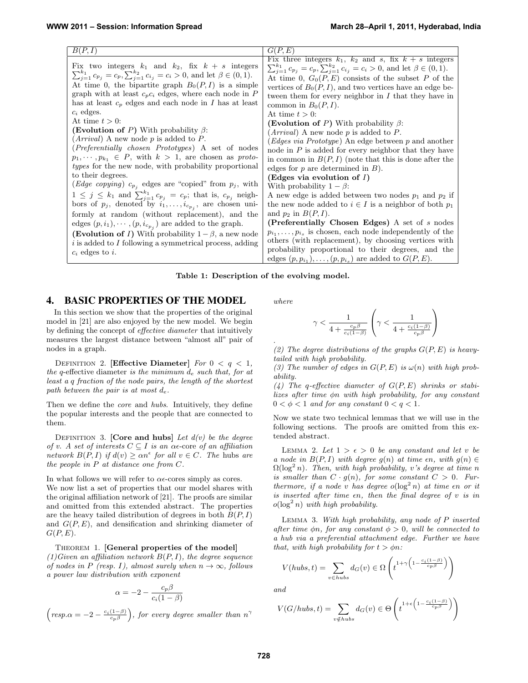#### Table 1: Description of the evolving model.

#### 4. BASIC PROPERTIES OF THE MODEL

In this section we show that the properties of the original model in [21] are also enjoyed by the new model. We begin by defining the concept of effective diameter that intuitively measures the largest distance between "almost all" pair of nodes in a graph.

DEFINITION 2. [Effective Diameter] For  $0 < q < 1$ , the q-effective diameter is the minimum  $d_e$  such that, for at least a q fraction of the node pairs, the length of the shortest path between the pair is at most  $d_e$ .

Then we define the *core* and *hubs*. Intuitively, they define the popular interests and the people that are connected to them.

DEFINITION 3. [Core and hubs] Let  $d(v)$  be the degree of v. A set of interests  $C \subseteq I$  is an  $\alpha \in \text{core of an } \alpha$  filiation network  $B(P, I)$  if  $d(v) \geq \alpha n^{\epsilon}$  for all  $v \in C$ . The hubs are the people in P at distance one from C.

In what follows we will refer to  $\alpha \epsilon$ -cores simply as cores. We now list a set of properties that our model shares with the original affiliation network of [21]. The proofs are similar and omitted from this extended abstract. The properties are the heavy tailed distribution of degrees in both  $B(P, I)$ and  $G(P, E)$ , and densification and shrinking diameter of  $G(P, E)$ .

Theorem 1. [General properties of the model]  $(1)$ Given an affiliation network  $B(P, I)$ , the degree sequence of nodes in P (resp. I), almost surely when  $n \to \infty$ , follows a power law distribution with exponent

$$
\alpha = -2 - \frac{c_p \beta}{c_i (1 - \beta)}
$$

 $(resp.\alpha = -2 - \frac{c_i(1-\beta)}{c_p\beta},$  for every degree smaller than  $n^{\gamma}$ 

where

.

$$
\gamma < \frac{1}{4 + \frac{c_p \beta}{c_i (1-\beta)}} \left( \gamma < \frac{1}{4 + \frac{c_i (1-\beta)}{c_p \beta}} \right)
$$

(2) The degree distributions of the graphs  $G(P, E)$  is heavytailed with high probability.

(3) The number of edges in  $G(P, E)$  is  $\omega(n)$  with high probability.

(4) The q-effective diameter of  $G(P, E)$  shrinks or stabilizes after time φn with high probability, for any constant  $0 < \phi < 1$  and for any constant  $0 < q < 1$ .

Now we state two technical lemmas that we will use in the following sections. The proofs are omitted from this extended abstract.

LEMMA 2. Let  $1 > \epsilon > 0$  be any constant and let v be a node in  $B(P, I)$  with degree  $g(n)$  at time  $\epsilon n$ , with  $g(n) \in$  $\Omega(\log^2 n)$ . Then, with high probability, v's degree at time n is smaller than  $C \cdot g(n)$ , for some constant  $C > 0$ . Furthermore, if a node v has degree  $o(\log^2 n)$  at time  $\epsilon n$  or it is inserted after time  $\epsilon n$ , then the final degree of  $v$  is in  $o(\log^2 n)$  with high probability.

Lemma 3. With high probability, any node of P inserted after time  $\phi$ n, for any constant  $\phi > 0$ , will be connected to a hub via a preferential attachment edge. Further we have that, with high probability for  $t > \phi n$ :

$$
V(hubs, t) = \sum_{v \in hubs} d_G(v) \in \Omega \left( t^{1 + \gamma \left( 1 - \frac{c_i(1 - \beta)}{c_p \beta} \right)} \right)
$$

and

$$
V(G/hubs, t) = \sum_{v \notin hubs} d_G(v) \in \Theta\left(t^{1+\epsilon\left(1 - \frac{c_i(1-\beta)}{c_p\beta}\right)}\right)
$$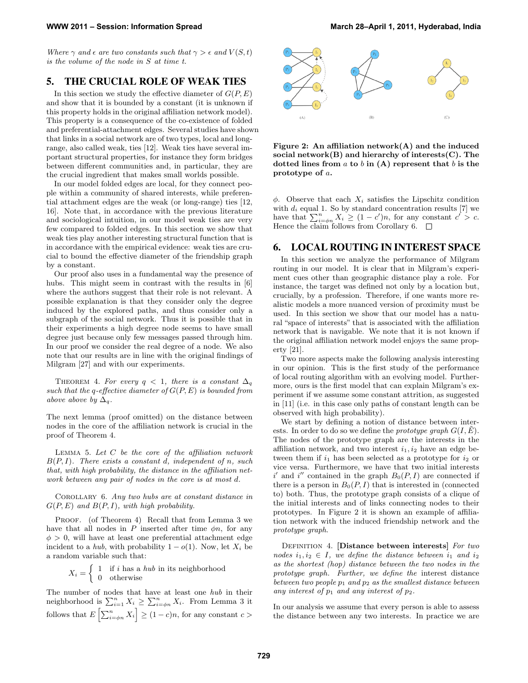Where  $\gamma$  and  $\epsilon$  are two constants such that  $\gamma > \epsilon$  and  $V(S, t)$ is the volume of the node in S at time t.

## 5. THE CRUCIAL ROLE OF WEAK TIES

In this section we study the effective diameter of  $G(P, E)$ and show that it is bounded by a constant (it is unknown if this property holds in the original affiliation network model). This property is a consequence of the co-existence of folded and preferential-attachment edges. Several studies have shown that links in a social network are of two types, local and longrange, also called weak, ties [12]. Weak ties have several important structural properties, for instance they form bridges between different communities and, in particular, they are the crucial ingredient that makes small worlds possible.

In our model folded edges are local, for they connect people within a community of shared interests, while preferential attachment edges are the weak (or long-range) ties [12, 16]. Note that, in accordance with the previous literature and sociological intuition, in our model weak ties are very few compared to folded edges. In this section we show that weak ties play another interesting structural function that is in accordance with the empirical evidence: weak ties are crucial to bound the effective diameter of the friendship graph by a constant.

Our proof also uses in a fundamental way the presence of hubs. This might seem in contrast with the results in [6] where the authors suggest that their role is not relevant. A possible explanation is that they consider only the degree induced by the explored paths, and thus consider only a subgraph of the social network. Thus it is possible that in their experiments a high degree node seems to have small degree just because only few messages passed through him. In our proof we consider the real degree of a node. We also note that our results are in line with the original findings of Milgram [27] and with our experiments.

THEOREM 4. For every  $q < 1$ , there is a constant  $\Delta_q$ such that the q-effective diameter of  $G(P, E)$  is bounded from above above by  $\Delta_q$ .

The next lemma (proof omitted) on the distance between nodes in the core of the affiliation network is crucial in the proof of Theorem 4.

LEMMA 5. Let  $C$  be the core of the affiliation network  $B(P, I)$ . There exists a constant d, independent of n, such that, with high probability, the distance in the affiliation network between any pair of nodes in the core is at most d.

Corollary 6. Any two hubs are at constant distance in  $G(P, E)$  and  $B(P, I)$ , with high probability.

PROOF. (of Theorem 4) Recall that from Lemma 3 we have that all nodes in P inserted after time  $\phi n$ , for any  $\phi > 0$ , will have at least one preferential attachment edge incident to a hub, with probability  $1 - o(1)$ . Now, let  $X_i$  be a random variable such that:

> $X_i = \begin{cases} 1 & \text{if } i \text{ has a } hub \text{ in its neighborhood} \\ 0 & \text{otherwise} \end{cases}$ 0 otherwise

The number of nodes that have at least one hub in their neighborhood is  $\sum_{i=1}^{n} X_i \geq \sum_{i=\phi n}^{n} X_i$ . From Lemma 3 it follows that  $E\left[\sum_{i=\phi n}^{n} X_i\right] \ge (1-c)n$ , for any constant  $c >$ 



Figure 2: An affiliation network(A) and the induced social network $(B)$  and hierarchy of interests $(C)$ . The dotted lines from  $a$  to  $b$  in  $(A)$  represent that  $b$  is the prototype of a.

 $\phi$ . Observe that each  $X_i$  satisfies the Lipschitz condition with  $d_i$  equal 1. So by standard concentration results [7] we have that  $\sum_{i=\phi n}^{n} X_i \geq (1-c')n$ , for any constant  $c' > c$ . Hence the claim follows from Corollary 6.  $\Box$ 

#### 6. LOCAL ROUTING IN INTEREST SPACE

In this section we analyze the performance of Milgram routing in our model. It is clear that in Milgram's experiment cues other than geographic distance play a role. For instance, the target was defined not only by a location but, crucially, by a profession. Therefore, if one wants more realistic models a more nuanced version of proximity must be used. In this section we show that our model has a natural "space of interests" that is associated with the affiliation network that is navigable. We note that it is not known if the original affiliation network model enjoys the same property [21].

Two more aspects make the following analysis interesting in our opinion. This is the first study of the performance of local routing algorithm with an evolving model. Furthermore, ours is the first model that can explain Milgram's experiment if we assume some constant attrition, as suggested in [11] (i.e. in this case only paths of constant length can be observed with high probability).

We start by defining a notion of distance between interests. In order to do so we define the *prototype graph*  $G(I, \tilde{E})$ . The nodes of the prototype graph are the interests in the affiliation network, and two interest  $i_1, i_2$  have an edge between them if  $i_1$  has been selected as a prototype for  $i_2$  or vice versa. Furthermore, we have that two initial interests i' and i'' contained in the graph  $B_0(P, I)$  are connected if there is a person in  $B_0(P, I)$  that is interested in (connected to) both. Thus, the prototype graph consists of a clique of the initial interests and of links connecting nodes to their prototypes. In Figure 2 it is shown an example of affiliation network with the induced friendship network and the prototype graph.

DEFINITION 4. [Distance between interests] For two nodes  $i_1, i_2 \in I$ , we define the distance between  $i_1$  and  $i_2$ as the shortest (hop) distance between the two nodes in the prototype graph. Further, we define the interest distance between two people  $p_1$  and  $p_2$  as the smallest distance between any interest of  $p_1$  and any interest of  $p_2$ .

In our analysis we assume that every person is able to assess the distance between any two interests. In practice we are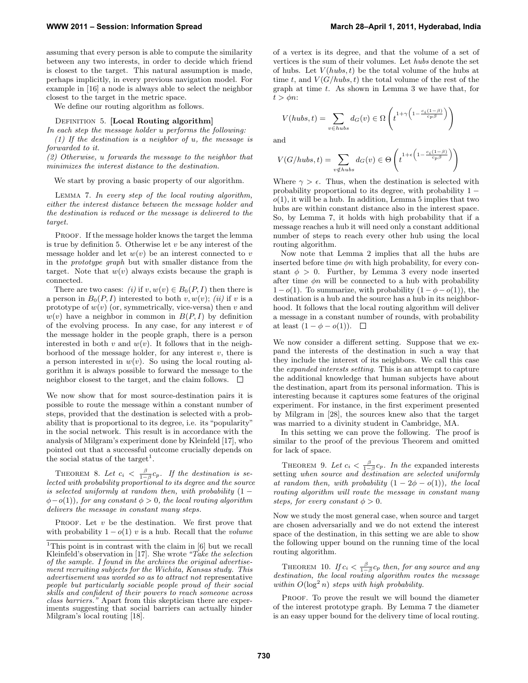assuming that every person is able to compute the similarity between any two interests, in order to decide which friend is closest to the target. This natural assumption is made, perhaps implicitly, in every previous navigation model. For example in [16] a node is always able to select the neighbor closest to the target in the metric space.

We define our routing algorithm as follows.

DEFINITION 5. [Local Routing algorithm]

In each step the message holder u performs the following: (1) If the destination is a neighbor of  $u$ , the message is forwarded to it.

(2) Otherwise, u forwards the message to the neighbor that minimizes the interest distance to the destination.

We start by proving a basic property of our algorithm.

Lemma 7. In every step of the local routing algorithm, either the interest distance between the message holder and the destination is reduced or the message is delivered to the target.

PROOF. If the message holder knows the target the lemma is true by definition 5. Otherwise let  $v$  be any interest of the message holder and let  $w(v)$  be an interest connected to v in the prototype graph but with smaller distance from the target. Note that  $w(v)$  always exists because the graph is connected.

There are two cases: (i) if  $v, w(v) \in B_0(P, I)$  then there is a person in  $B_0(P, I)$  interested to both v,  $w(v)$ ; *(ii)* if v is a prototype of  $w(v)$  (or, symmetrically, vice-versa) then v and  $w(v)$  have a neighbor in common in  $B(P, I)$  by definition of the evolving process. In any case, for any interest  $v$  of the message holder in the people graph, there is a person interested in both v and  $w(v)$ . It follows that in the neighborhood of the message holder, for any interest  $v$ , there is a person interested in  $w(v)$ . So using the local routing algorithm it is always possible to forward the message to the neighbor closest to the target, and the claim follows.  $\Box$ 

We now show that for most source-destination pairs it is possible to route the message within a constant number of steps, provided that the destination is selected with a probability that is proportional to its degree, i.e. its "popularity" in the social network. This result is in accordance with the analysis of Milgram's experiment done by Kleinfeld [17], who pointed out that a successful outcome crucially depends on the social status of the target<sup>1</sup>.

THEOREM 8. Let  $c_i < \frac{\beta}{1-\beta}c_p$ . If the destination is selected with probability proportional to its degree and the source is selected uniformly at random then, with probability  $(1 \phi$ −o(1)), for any constant  $\phi > 0$ , the local routing algorithm delivers the message in constant many steps.

PROOF. Let  $v$  be the destination. We first prove that with probability  $1 - o(1)$  v is a hub. Recall that the volume of a vertex is its degree, and that the volume of a set of vertices is the sum of their volumes. Let hubs denote the set of hubs. Let  $V(hubs, t)$  be the total volume of the hubs at time t, and  $V(G/hubs, t)$  the total volume of the rest of the graph at time  $t$ . As shown in Lemma 3 we have that, for  $t > \phi n$ :

$$
V(hubs, t) = \sum_{v \in hubs} d_G(v) \in \Omega \left( t^{1 + \gamma \left( 1 - \frac{c_i(1 - \beta)}{c_p \beta} \right)} \right)
$$

and

$$
V(G/hubs, t) = \sum_{v \notin hubs} d_G(v) \in \Theta\left(t^{1+\epsilon\left(1 - \frac{c_i(1-\beta)}{c_p\beta}\right)}\right)
$$

Where  $\gamma > \epsilon$ . Thus, when the destination is selected with probability proportional to its degree, with probability 1 −  $o(1)$ , it will be a hub. In addition, Lemma 5 implies that two hubs are within constant distance also in the interest space. So, by Lemma 7, it holds with high probability that if a message reaches a hub it will need only a constant additional number of steps to reach every other hub using the local routing algorithm.

Now note that Lemma 2 implies that all the hubs are inserted before time  $\phi n$  with high probability, for every constant  $\phi > 0$ . Further, by Lemma 3 every node inserted after time  $\phi n$  will be connected to a hub with probability  $1 - o(1)$ . To summarize, with probability  $(1 - \phi - o(1))$ , the destination is a hub and the source has a hub in its neighborhood. It follows that the local routing algorithm will deliver a message in a constant number of rounds, with probability at least  $(1 - \phi - o(1))$ .  $\Box$ 

We now consider a different setting. Suppose that we expand the interests of the destination in such a way that they include the interest of its neighbors. We call this case the expanded interests setting. This is an attempt to capture the additional knowledge that human subjects have about the destination, apart from its personal information. This is interesting because it captures some features of the original experiment. For instance, in the first experiment presented by Milgram in [28], the sources knew also that the target was married to a divinity student in Cambridge, MA.

In this setting we can prove the following. The proof is similar to the proof of the previous Theorem and omitted for lack of space.

THEOREM 9. Let  $c_i < \frac{\beta}{1-\beta}c_p$ . In the expanded interests setting when source and destination are selected uniformly at random then, with probability  $(1 - 2\phi - o(1))$ , the local routing algorithm will route the message in constant many steps, for every constant  $\phi > 0$ .

Now we study the most general case, when source and target are chosen adversarially and we do not extend the interest space of the destination, in this setting we are able to show the following upper bound on the running time of the local routing algorithm.

THEOREM 10. If  $c_i < \frac{\beta}{1-\beta}c_p$  then, for any source and any destination, the local routing algorithm routes the message within  $O(\log^2 n)$  steps with high probability.

PROOF. To prove the result we will bound the diameter of the interest prototype graph. By Lemma 7 the diameter is an easy upper bound for the delivery time of local routing.

<sup>&</sup>lt;sup>1</sup>This point is in contrast with the claim in  $[6]$  but we recall Kleinfeld's observation in [17]. She wrote "Take the selection" of the sample. I found in the archives the original advertisement recruiting subjects for the Wichita, Kansas study. This advertisement was worded so as to attract not representative people but particularly sociable people proud of their social skills and confident of their powers to reach someone across class barriers." Apart from this skepticism there are experiments suggesting that social barriers can actually hinder Milgram's local routing [18].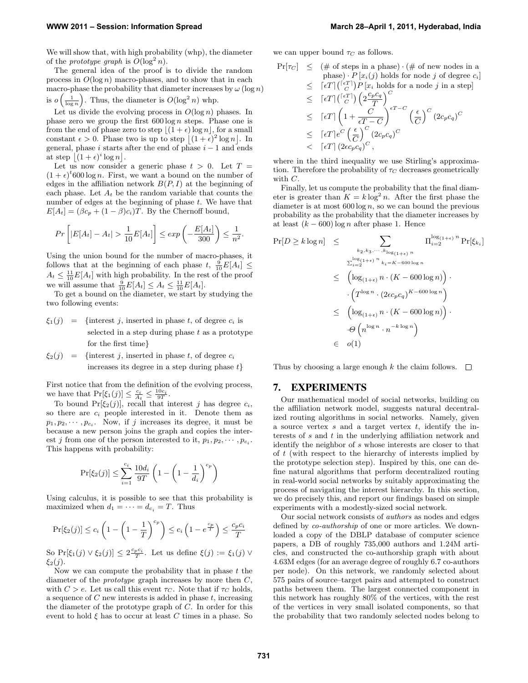We will show that, with high probability (whp), the diameter of the *prototype graph* is  $O(\log^2 n)$ .

The general idea of the proof is to divide the random process in  $O(\log n)$  macro-phases, and to show that in each macro-phase the probability that diameter increases by  $\omega(\log n)$ is  $o\left(\frac{1}{\log n}\right)$ . Thus, the diameter is  $O(\log^2 n)$  whp.

Let us divide the evolving process in  $O(\log n)$  phases. In phase zero we group the first  $600 \log n$  steps. Phase one is from the end of phase zero to step  $|(1 + \epsilon) \log n|$ , for a small constant  $\epsilon > 0$ . Phase two is up to step  $|(1+\epsilon)^2 \log n|$ . In general, phase i starts after the end of phase  $i - 1$  and ends at step  $|(1+\epsilon)^i \log n|$ .

Let us now consider a generic phase  $t > 0$ . Let  $T =$  $(1 + \epsilon)^t 600 \log n$ . First, we want a bound on the number of edges in the affiliation network  $B(P, I)$  at the beginning of each phase. Let  $A_t$  be the random variable that counts the number of edges at the beginning of phase t. We have that  $E[A_t] = (\beta c_p + (1 - \beta)c_i)T$ . By the Chernoff bound,

$$
Pr\left[|E[A_t] - A_t| > \frac{1}{10}E[A_t]\right] \leq exp\left(-\frac{E[A_t]}{300}\right) \leq \frac{1}{n^2}.
$$

Using the union bound for the number of macro-phases, it follows that at the beginning of each phase  $t, \frac{9}{10}E[A_t] \leq$  $A_t \leq \frac{11}{10}E[A_t]$  with high probability. In the rest of the proof we will assume that  $\frac{9}{10}E[A_t] \leq A_t \leq \frac{11}{10}E[A_t]$ .

To get a bound on the diameter, we start by studying the two following events:

- $\xi_1(j)$  = {interest j, inserted in phase t, of degree  $c_i$  is selected in a step during phase  $t$  as a prototype for the first time}
- $\xi_2(j)$  = {interest j, inserted in phase t, of degree  $c_i$ increases its degree in a step during phase  $t\}$

First notice that from the definition of the evolving process, we have that  $Pr[\xi_1(j)] \leq \frac{c_i}{A_t} \leq \frac{10c_i}{9T}$ .

To bound  $Pr[\xi_2(j)]$ , recall that interest j has degree  $c_i$ , so there are  $c_i$  people interested in it. Denote them as  $p_1, p_2, \dots, p_{c_i}$ . Now, if j increases its degree, it must be because a new person joins the graph and copies the interest *j* from one of the person interested to it,  $p_1, p_2, \cdots, p_{c_i}$ . This happens with probability:

$$
\Pr[\xi_2(j)] \le \sum_{i=1}^{c_i} \frac{10d_i}{9T} \left( 1 - \left( 1 - \frac{1}{d_i} \right)^{c_p} \right)
$$

Using calculus, it is possible to see that this probability is maximized when  $d_1 = \cdots = d_{c_i} = T$ . Thus

$$
\Pr[\xi_2(j)] \le c_i \left(1 - \left(1 - \frac{1}{T}\right)^{c_p}\right) \le c_i \left(1 - e^{\frac{c_p}{T}}\right) \le \frac{c_p c_i}{T}
$$

So Pr[ $\xi_1(j) \vee \xi_2(j) \leq 2 \frac{c_p c_i}{T}$ . Let us define  $\xi(j) := \xi_1(j) \vee \xi_2(j)$  $\xi_2(j)$ .

Now we can compute the probability that in phase  $t$  the diameter of the *prototype* graph increases by more then  $C$ , with  $C > e$ . Let us call this event  $\tau_C$ . Note that if  $\tau_C$  holds, a sequence of  $C$  new interests is added in phase  $t$ , increasing the diameter of the prototype graph of  $C$ . In order for this event to hold  $\xi$  has to occur at least C times in a phase. So

we can upper bound  $\tau_C$  as follows.

$$
\begin{array}{lcl} \Pr[\tau_C] & \leq & (\text{\# of steps in a phase}) \cdot (\text{\# of new nodes in a phase}) \cdot P\left[x_i(j) \text{ holds for node } j \text{ of degree } c_i\right] \\ & \leq & [\epsilon T] \binom{[\epsilon T]}{C} P\left[x_i \text{ holds for a node } j \text{ in a step}\right] \\ & \leq & [\epsilon T] \binom{[\epsilon T]}{C} \left(2 \frac{c_P c_q}{T}\right)^C \\ & \leq & [\epsilon T] \left(1 + \frac{C}{\epsilon T - C}\right)^{\epsilon T - C} \left(\frac{\epsilon}{C}\right)^C (2c_P c_q)^C \\ & \leq & [\epsilon T] \left(2\epsilon c_P c_q\right)^C, \end{array}
$$

where in the third inequality we use Stirling's approximation. Therefore the probability of  $\tau_C$  decreases geometrically with C.

Finally, let us compute the probability that the final diameter is greater than  $K = k \log^2 n$ . After the first phase the diameter is at most  $600 \log n$ , so we can bound the previous probability as the probability that the diameter increases by at least  $(k - 600) \log n$  after phase 1. Hence

$$
\Pr[D \ge k \log n] \le \sum_{k_2, k_3, \dots, k_{\log(1+\epsilon)} n} \Pi_{i=2}^{\log(1+\epsilon)} \Pr[\xi_{k_i}]
$$
  

$$
\sum_{i=2}^{\log(1+\epsilon)} n_{k_i = K - 600 \log n}
$$
  

$$
\leq (\log_{(1+\epsilon)} n \cdot (K - 600 \log n)) \cdot
$$
  

$$
\cdot (T^{\log n} \cdot (2\epsilon c_p c_q)^{K - 600 \log n})
$$
  

$$
\leq (\log_{(1+\epsilon)} n \cdot (K - 600 \log n)) \cdot
$$
  

$$
\cdot \Theta(n^{\log n} \cdot n^{-k \log n})
$$
  

$$
\in o(1)
$$

Thus by choosing a large enough k the claim follows.  $\Box$ 

#### 7. EXPERIMENTS

Our mathematical model of social networks, building on the affiliation network model, suggests natural decentralized routing algorithms in social networks. Namely, given a source vertex  $s$  and a target vertex  $t$ , identify the interests of s and t in the underlying affiliation network and identify the neighbor of s whose interests are closer to that of t (with respect to the hierarchy of interests implied by the prototype selection step). Inspired by this, one can define natural algorithms that perform decentralized routing in real-world social networks by suitably approximating the process of navigating the interest hierarchy. In this section, we do precisely this, and report our findings based on simple experiments with a modestly-sized social network.

Our social network consists of authors as nodes and edges defined by co-authorship of one or more articles. We downloaded a copy of the DBLP database of computer science papers, a DB of roughly 735,000 authors and 1.24M articles, and constructed the co-authorship graph with about 4.63M edges (for an average degree of roughly 6.7 co-authors per node). On this network, we randomly selected about 575 pairs of source–target pairs and attempted to construct paths between them. The largest connected component in this network has roughly 80% of the vertices, with the rest of the vertices in very small isolated components, so that the probability that two randomly selected nodes belong to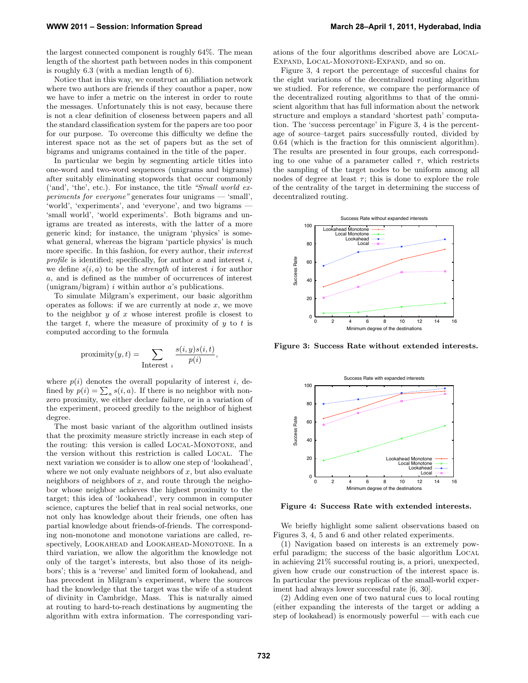the largest connected component is roughly 64%. The mean length of the shortest path between nodes in this component is roughly 6.3 (with a median length of 6).

Notice that in this way, we construct an affiliation network where two authors are friends if they coauthor a paper, now we have to infer a metric on the interest in order to route the messages. Unfortunately this is not easy, because there is not a clear definition of closeness between papers and all the standard classification system for the papers are too poor for our purpose. To overcome this difficulty we define the interest space not as the set of papers but as the set of bigrams and unigrams contained in the title of the paper.

In particular we begin by segmenting article titles into one-word and two-word sequences (unigrams and bigrams) after suitably eliminating stopwords that occur commonly ('and', 'the', etc.). For instance, the title "Small world experiments for everyone" generates four unigrams — 'small', 'world', 'experiments', and 'everyone', and two bigrams — 'small world', 'world experiments'. Both bigrams and unigrams are treated as interests, with the latter of a more generic kind; for instance, the unigram 'physics' is somewhat general, whereas the bigram 'particle physics' is much more specific. In this fashion, for every author, their interest profile is identified; specifically, for author  $a$  and interest  $i$ . we define  $s(i, a)$  to be the *strength* of interest i for author a, and is defined as the number of occurrences of interest (unigram/bigram) i within author  $a$ 's publications.

To simulate Milgram's experiment, our basic algorithm operates as follows: if we are currently at node  $x$ , we move to the neighbor  $y$  of  $x$  whose interest profile is closest to the target  $t$ , where the measure of proximity of  $y$  to  $t$  is computed according to the formula

$$
proximity(y, t) = \sum_{\text{Interest } i} \frac{s(i, y)s(i, t)}{p(i)},
$$

where  $p(i)$  denotes the overall popularity of interest i, defined by  $p(i) = \sum_a s(i, a)$ . If there is no neighbor with nonzero proximity, we either declare failure, or in a variation of the experiment, proceed greedily to the neighbor of highest degree.

The most basic variant of the algorithm outlined insists that the proximity measure strictly increase in each step of the routing: this version is called LOCAL-MONOTONE, and the version without this restriction is called Local. The next variation we consider is to allow one step of 'lookahead', where we not only evaluate neighbors of  $x$ , but also evaluate neighbors of neighbors of  $x$ , and route through the neighobor whose neighbor achieves the highest proximity to the target; this idea of 'lookahead', very common in computer science, captures the belief that in real social networks, one not only has knowledge about their friends, one often has partial knowledge about friends-of-friends. The corresponding non-monotone and monotone variations are called, respectively, LOOKAHEAD and LOOKAHEAD-MONOTONE. In a third variation, we allow the algorithm the knowledge not only of the target's interests, but also those of its neighbors'; this is a 'reverse' and limited form of lookahead, and has precedent in Milgram's experiment, where the sources had the knowledge that the target was the wife of a student of divinity in Cambridge, Mass. This is naturally aimed at routing to hard-to-reach destinations by augmenting the algorithm with extra information. The corresponding variations of the four algorithms described above are Local-Expand, Local-Monotone-Expand, and so on.

Figure 3, 4 report the percentage of succesful chains for the eight variations of the decentralized routing algorithm we studied. For reference, we compare the performance of the decentralized routing algorithms to that of the omniscient algorithm that has full information about the network structure and employs a standard 'shortest path' computation. The 'success percentage' in Figure 3, 4 is the percentage of source–target pairs successfully routed, divided by 0.64 (which is the fraction for this omniscient algorithm). The results are presented in four groups, each corresponding to one value of a parameter called  $\tau$ , which restricts the sampling of the target nodes to be uniform among all nodes of degree at least  $\tau$ ; this is done to explore the role of the centrality of the target in determining the success of decentralized routing.



Figure 3: Success Rate without extended interests.



Figure 4: Success Rate with extended interests.

We briefly highlight some salient observations based on Figures 3, 4, 5 and 6 and other related experiments.

(1) Navigation based on interests is an extremely powerful paradigm; the success of the basic algorithm Local in achieving 21% successful routing is, a priori, unexpected, given how crude our construction of the interest space is. In particular the previous replicas of the small-world experiment had always lower successful rate [6, 30].

(2) Adding even one of two natural cues to local routing (either expanding the interests of the target or adding a step of lookahead) is enormously powerful — with each cue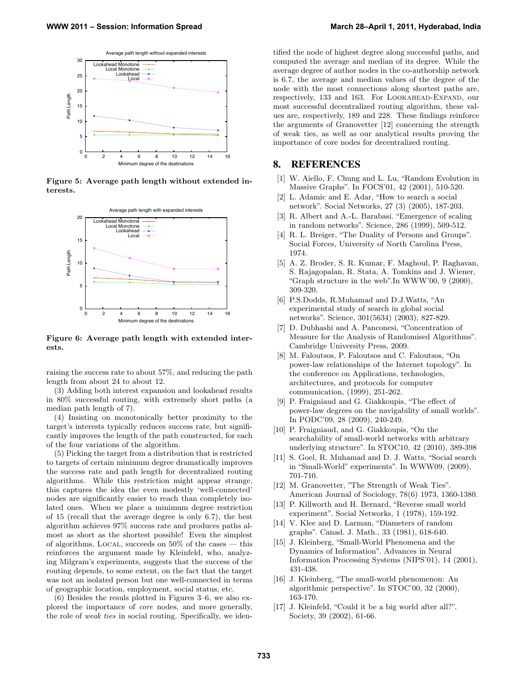

Figure 5: Average path length without extended interests.



Figure 6: Average path length with extended interests.

raising the success rate to about 57%, and reducing the path length from about 24 to about 12.

(3) Adding both interest expansion and lookahead results in 80% successful routing, with extremely short paths (a median path length of 7).

(4) Insisting on monotonically better proximity to the target's interests typically reduces success rate, but significantly improves the length of the path constructed, for each of the four variations of the algorithm.

(5) Picking the target from a distribution that is restricted to targets of certain minimum degree dramatically improves the success rate and path length for decentralized routing algorithms. While this restriction might appear strange, this captures the idea the even modestly 'well-connected' nodes are significantly easier to reach than completely isolated ones. When we place a minimum degree restriction of 15 (recall that the average degree is only 6.7), the best algorithm achieves 97% success rate and produces paths almost as short as the shortest possible! Even the simplest of algorithms, LOCAL, succeeds on  $50\%$  of the cases — this reinforces the argument made by Kleinfeld, who, analyzing Milgram's experiments, suggests that the success of the routing depends, to some extent, on the fact that the target was not an isolated person but one well-connected in terms of geographic location, employment, social status, etc.

(6) Besides the resuls plotted in Figures 3–6, we also explored the importance of core nodes, and more generally, the role of weak ties in social routing. Specifically, we identified the node of highest degree along successful paths, and computed the average and median of its degree. While the average degree of author nodes in the co-authorship network is 6.7, the average and median values of the degree of the node with the most connections along shortest paths are, respectively, 133 and 163. For LOOKAHEAD-EXPAND, our most successful decentralized routing algorithm, these values are, respectively, 189 and 228. These findings reinforce the arguments of Granovetter [12] concerning the strength of weak ties, as well as our analytical results proving the importance of core nodes for decentralized routing.

## 8. REFERENCES

- [1] W. Aiello, F. Chung and L. Lu, "Random Evolution in Massive Graphs". In FOCS'01, 42 (2001), 510-520.
- [2] L. Adamic and E. Adar, "How to search a social network". Social Networks, 27 (3) (2005), 187-203.
- [3] R. Albert and A.-L. Barabasi. "Emergence of scaling in random networks". Science, 286 (1999), 509-512.
- [4] R. L. Breiger, "The Duality of Persons and Groups". Social Forces, University of North Carolina Press, 1974.
- [5] A. Z. Broder, S. R. Kumar, F. Maghoul, P. Raghavan, S. Rajagopalan, R. Stata, A. Tomkins and J. Wiener, "Graph structure in the web".In WWW'00, 9 (2000), 309-320.
- [6] P.S.Dodds, R.Muhamad and D.J.Watts, "An experimental study of search in global social networks". Science, 301(5634) (2003), 827-829.
- [7] D. Dubhashi and A. Panconesi, "Concentration of Measure for the Analysis of Randomised Algorithms". Cambridge University Press, 2009.
- [8] M. Faloutsos, P. Faloutsos and C. Faloutsos, "On power-law relationships of the Internet topology". In the conference on Applications, technologies, architectures, and protocols for computer communication, (1999), 251-262.
- [9] P. Fraigniaud and G. Giakkoupis, "The effect of power-law degrees on the navigability of small worlds". In PODC'09, 28 (2009), 240-249.
- [10] P. Fraigniaud, and G. Giakkoupis, "On the searchability of small-world networks with arbitrary underlying structure". In STOC10, 42 (2010), 389-398
- [11] S. Goel, R. Muhamad and D. J. Watts, "Social search in "Small-World" experiments". In WWW09, (2009), 701-710.
- [12] M. Granovetter, "The Strength of Weak Ties". American Journal of Sociology, 78(6) 1973, 1360-1380.
- [13] P. Killworth and H. Bernard, "Reverse small world experiment". Social Networks, 1 (1978), 159-192.
- [14] V. Klee and D. Larman, "Diameters of random graphs". Canad. J. Math., 33 (1981), 618-640.
- [15] J. Kleinberg, "Small-World Phenomena and the Dynamics of Information". Advances in Neural Information Processing Systems (NIPS'01), 14 (2001), 431-438.
- [16] J. Kleinberg, "The small-world phenomenon: An algorithmic perspective". In STOC'00, 32 (2000), 163-170.
- [17] J. Kleinfeld, "Could it be a big world after all?". Society, 39 (2002), 61-66.